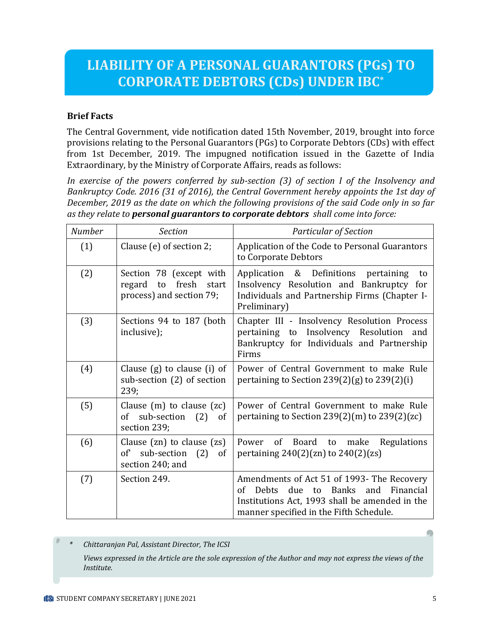# **LIABILITY OF A PERSONAL GUARANTORS (PGs) TO CORPORATE DEBTORS (CDs) UNDER IBC\***

#### **Brief Facts**

The Central Government, vide notification dated 15th November, 2019, brought into force provisions relating to the Personal Guarantors (PGs) to Corporate Debtors (CDs) with effect from 1st December, 2019. The impugned notification issued in the Gazette of India Extraordinary, by the Ministry of Corporate Affairs, reads as follows:

*In exercise of the powers conferred by sub-section (3) of section I of the Insolvency and Bankruptcy Code. 2016 (31 of 2016), the Central Government hereby appoints the 1st day of December, 2019 as the date on which the following provisions of the said Code only in so far as they relate to personal guarantors to corporate debtors shall come into force:*

| <b>Number</b> | <b>Section</b>                                                                        | <b>Particular of Section</b>                                                                                                                                                                        |
|---------------|---------------------------------------------------------------------------------------|-----------------------------------------------------------------------------------------------------------------------------------------------------------------------------------------------------|
| (1)           | Clause (e) of section 2;                                                              | Application of the Code to Personal Guarantors<br>to Corporate Debtors                                                                                                                              |
| (2)           | Section 78 (except with<br>fresh<br>regard<br>to<br>start<br>process) and section 79; | Application & Definitions pertaining<br>to<br>Insolvency Resolution and Bankruptcy<br>for<br>Individuals and Partnership Firms (Chapter I-<br>Preliminary)                                          |
| (3)           | Sections 94 to 187 (both<br>inclusive);                                               | Chapter III - Insolvency Resolution Process<br>pertaining to Insolvency Resolution<br>and<br>Bankruptcy for Individuals and Partnership<br>Firms                                                    |
| (4)           | Clause $(g)$ to clause $(i)$ of<br>sub-section (2) of section<br>239;                 | Power of Central Government to make Rule<br>pertaining to Section $239(2)(g)$ to $239(2)(i)$                                                                                                        |
| (5)           | Clause $(m)$ to clause $(zc)$<br>sub-section<br>(2)<br>of<br>of<br>section 239;       | Power of Central Government to make Rule<br>pertaining to Section $239(2)(m)$ to $239(2)(zc)$                                                                                                       |
| (6)           | Clause $(zn)$ to clause $(zs)$<br>of sub-section (2)<br>of<br>section 240; and        | Power of Board to make<br>Regulations<br>pertaining $240(2)(zn)$ to $240(2)(zs)$                                                                                                                    |
| (7)           | Section 249.                                                                          | Amendments of Act 51 of 1993- The Recovery<br>$\sigma$ f<br>due to Banks and Financial<br><b>Debts</b><br>Institutions Act, 1993 shall be amended in the<br>manner specified in the Fifth Schedule. |

*\* Chittaranjan Pal, Assistant Director, The ICSI*

*Views expressed in the Article are the sole expression of the Author and may not express the views of the Institute.*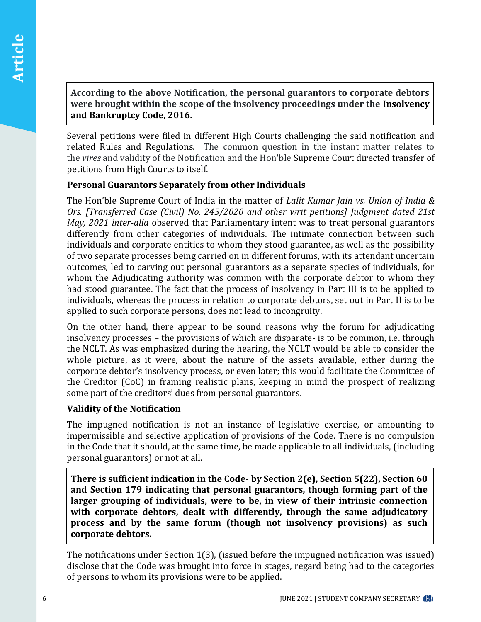**According to the above Notification, the personal guarantors to corporate debtors were brought within the scope of the insolvency proceedings under the Insolvency and Bankruptcy Code, 2016.**

Several petitions were filed in different High Courts challenging the said notification and related Rules and Regulations. The common question in the instant matter relates to the *vires* and validity of the Notification and the Hon'ble Supreme Court directed transfer of petitions from High Courts to itself.

### **Personal Guarantors Separately from other Individuals**

The Hon'ble Supreme Court of India in the matter of *Lalit Kumar Jain vs. Union of India & Ors. [Transferred Case (Civil) No. 245/2020 and other writ petitions] Judgment dated 21st May, 2021 inter-alia* observed that Parliamentary intent was to treat personal guarantors differently from other categories of individuals. The intimate connection between such individuals and corporate entities to whom they stood guarantee, as well as the possibility of two separate processes being carried on in different forums, with its attendant uncertain outcomes, led to carving out personal guarantors as a separate species of individuals, for whom the Adjudicating authority was common with the corporate debtor to whom they had stood guarantee. The fact that the process of insolvency in Part III is to be applied to individuals, whereas the process in relation to corporate debtors, set out in Part II is to be applied to such corporate persons, does not lead to incongruity.

On the other hand, there appear to be sound reasons why the forum for adjudicating insolvency processes – the provisions of which are disparate- is to be common, i.e. through the NCLT. As was emphasized during the hearing, the NCLT would be able to consider the whole picture, as it were, about the nature of the assets available, either during the corporate debtor's insolvency process, or even later; this would facilitate the Committee of the Creditor (CoC) in framing realistic plans, keeping in mind the prospect of realizing some part of the creditors' dues from personal guarantors.

## **Validity of the Notification**

The impugned notification is not an instance of legislative exercise, or amounting to impermissible and selective application of provisions of the Code. There is no compulsion in the Code that it should, at the same time, be made applicable to all individuals, (including personal guarantors) or not at all.

**There is sufficient indication in the Code- by Section 2(e), Section 5(22), Section 60 and Section 179 indicating that personal guarantors, though forming part of the larger grouping of individuals, were to be, in view of their intrinsic connection with corporate debtors, dealt with differently, through the same adjudicatory process and by the same forum (though not insolvency provisions) as such corporate debtors.** 

The notifications under Section 1(3), (issued before the impugned notification was issued) disclose that the Code was brought into force in stages, regard being had to the categories of persons to whom its provisions were to be applied.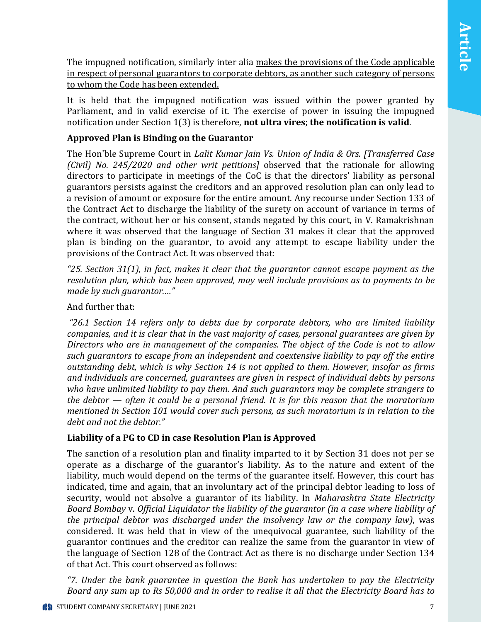The impugned notification, similarly inter alia makes the provisions of the Code applicable in respect of personal guarantors to corporate debtors, as another such category of persons to whom the Code has been extended.

It is held that the impugned notification was issued within the power granted by Parliament, and in valid exercise of it. The exercise of power in issuing the impugned notification under Section 1(3) is therefore, **not ultra vires**; **the notification is valid**.

## **Approved Plan is Binding on the Guarantor**

The Hon'ble Supreme Court in *Lalit Kumar Jain Vs. Union of India & Ors. [Transferred Case (Civil) No. 245/2020 and other writ petitions]* observed that the rationale for allowing directors to participate in meetings of the CoC is that the directors' liability as personal guarantors persists against the creditors and an approved resolution plan can only lead to a revision of amount or exposure for the entire amount. Any recourse under Section 133 of the Contract Act to discharge the liability of the surety on account of variance in terms of the contract, without her or his consent, stands negated by this court, in V. Ramakrishnan where it was observed that the language of Section 31 makes it clear that the approved plan is binding on the guarantor, to avoid any attempt to escape liability under the provisions of the Contract Act. It was observed that:

*"25. Section 31(1), in fact, makes it clear that the guarantor cannot escape payment as the resolution plan, which has been approved, may well include provisions as to payments to be made by such guarantor.…"* 

#### And further that:

*"26.1 Section 14 refers only to debts due by corporate debtors, who are limited liability companies, and it is clear that in the vast majority of cases, personal guarantees are given by Directors who are in management of the companies. The object of the Code is not to allow such guarantors to escape from an independent and coextensive liability to pay off the entire outstanding debt, which is why Section 14 is not applied to them. However, insofar as firms and individuals are concerned, guarantees are given in respect of individual debts by persons who have unlimited liability to pay them. And such guarantors may be complete strangers to the debtor — often it could be a personal friend. It is for this reason that the moratorium mentioned in Section 101 would cover such persons, as such moratorium is in relation to the debt and not the debtor."*

#### **Liability of a PG to CD in case Resolution Plan is Approved**

The sanction of a resolution plan and finality imparted to it by Section 31 does not per se operate as a discharge of the guarantor's liability. As to the nature and extent of the liability, much would depend on the terms of the guarantee itself. However, this court has indicated, time and again, that an involuntary act of the principal debtor leading to loss of security, would not absolve a guarantor of its liability. In *Maharashtra State Electricity Board Bombay* v. *Official Liquidator the liability of the guarantor (in a case where liability of the principal debtor was discharged under the insolvency law or the company law)*, was considered. It was held that in view of the unequivocal guarantee, such liability of the guarantor continues and the creditor can realize the same from the guarantor in view of the language of Section 128 of the Contract Act as there is no discharge under Section 134 of that Act. This court observed as follows:

*"7. Under the bank guarantee in question the Bank has undertaken to pay the Electricity Board any sum up to Rs 50,000 and in order to realise it all that the Electricity Board has to*